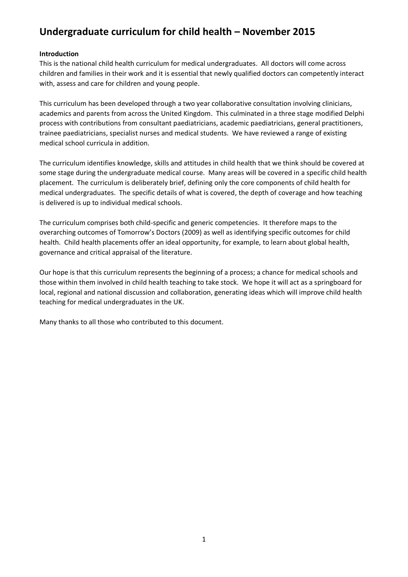# **Undergraduate curriculum for child health – November 2015**

#### **Introduction**

This is the national child health curriculum for medical undergraduates. All doctors will come across children and families in their work and it is essential that newly qualified doctors can competently interact with, assess and care for children and young people.

This curriculum has been developed through a two year collaborative consultation involving clinicians, academics and parents from across the United Kingdom. This culminated in a three stage modified Delphi process with contributions from consultant paediatricians, academic paediatricians, general practitioners, trainee paediatricians, specialist nurses and medical students. We have reviewed a range of existing medical school curricula in addition.

The curriculum identifies knowledge, skills and attitudes in child health that we think should be covered at some stage during the undergraduate medical course. Many areas will be covered in a specific child health placement. The curriculum is deliberately brief, defining only the core components of child health for medical undergraduates. The specific details of what is covered, the depth of coverage and how teaching is delivered is up to individual medical schools.

The curriculum comprises both child-specific and generic competencies. It therefore maps to the overarching outcomes of Tomorrow's Doctors (2009) as well as identifying specific outcomes for child health. Child health placements offer an ideal opportunity, for example, to learn about global health, governance and critical appraisal of the literature.

Our hope is that this curriculum represents the beginning of a process; a chance for medical schools and those within them involved in child health teaching to take stock. We hope it will act as a springboard for local, regional and national discussion and collaboration, generating ideas which will improve child health teaching for medical undergraduates in the UK.

Many thanks to all those who contributed to this document.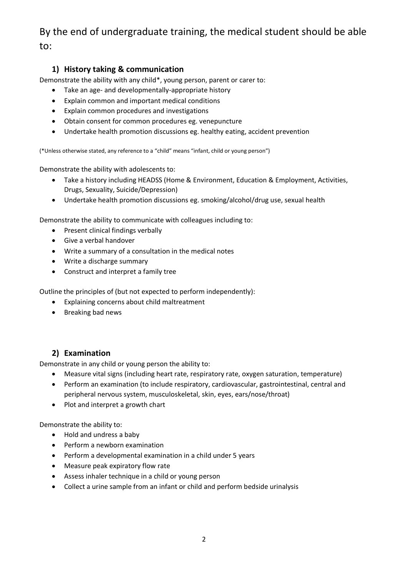# By the end of undergraduate training, the medical student should be able to:

# **1) History taking & communication**

Demonstrate the ability with any child\*, young person, parent or carer to:

- Take an age- and developmentally-appropriate history
- Explain common and important medical conditions
- Explain common procedures and investigations
- Obtain consent for common procedures eg. venepuncture
- Undertake health promotion discussions eg. healthy eating, accident prevention

(\*Unless otherwise stated, any reference to a "child" means "infant, child or young person")

Demonstrate the ability with adolescents to:

- Take a history including HEADSS (Home & Environment, Education & Employment, Activities, Drugs, Sexuality, Suicide/Depression)
- Undertake health promotion discussions eg. smoking/alcohol/drug use, sexual health

Demonstrate the ability to communicate with colleagues including to:

- Present clinical findings verbally
- Give a verbal handover
- Write a summary of a consultation in the medical notes
- Write a discharge summary
- Construct and interpret a family tree

Outline the principles of (but not expected to perform independently):

- Explaining concerns about child maltreatment
- Breaking bad news

# **2) Examination**

Demonstrate in any child or young person the ability to:

- Measure vital signs (including heart rate, respiratory rate, oxygen saturation, temperature)
- Perform an examination (to include respiratory, cardiovascular, gastrointestinal, central and peripheral nervous system, musculoskeletal, skin, eyes, ears/nose/throat)
- Plot and interpret a growth chart

Demonstrate the ability to:

- Hold and undress a baby
- Perform a newborn examination
- Perform a developmental examination in a child under 5 years
- Measure peak expiratory flow rate
- Assess inhaler technique in a child or young person
- Collect a urine sample from an infant or child and perform bedside urinalysis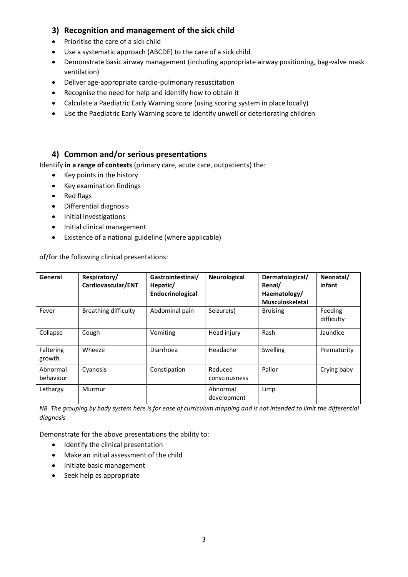## **3) Recognition and management of the sick child**

- Prioritise the care of a sick child
- Use a systematic approach (ABCDE) to the care of a sick child
- Demonstrate basic airway management (including appropriate airway positioning, bag-valve mask ventilation)
- Deliver age-appropriate cardio-pulmonary resuscitation
- Recognise the need for help and identify how to obtain it
- Calculate a Paediatric Early Warning score (using scoring system in place locally)
- Use the Paediatric Early Warning score to identify unwell or deteriorating children

#### **4) Common and/or serious presentations**

Identify **in a range of contexts** (primary care, acute care, outpatients) the:

- Key points in the history
- Key examination findings
- Red flags
- Differential diagnosis
- Initial investigations
- Initial clinical management
- Existence of a national guideline (where applicable)

of/for the following clinical presentations:

| General               | Respiratory/<br>Cardiovascular/ENT | Gastrointestinal/<br>Hepatic/<br>Endocrinological | Neurological             | Dermatological/<br>Renal/<br>Haematology/<br><b>Musculoskeletal</b> | Neonatal/<br>infant   |
|-----------------------|------------------------------------|---------------------------------------------------|--------------------------|---------------------------------------------------------------------|-----------------------|
| Fever                 | Breathing difficulty               | Abdominal pain                                    | Seizure(s)               | <b>Bruising</b>                                                     | Feeding<br>difficulty |
| Collapse              | Cough                              | Vomiting                                          | Head injury              | Rash                                                                | Jaundice              |
| Faltering<br>growth   | Wheeze                             | Diarrhoea                                         | Headache                 | Swelling                                                            | Prematurity           |
| Abnormal<br>behaviour | Cyanosis                           | Constipation                                      | Reduced<br>consciousness | Pallor                                                              | Crying baby           |
| Lethargy              | Murmur                             |                                                   | Abnormal<br>development  | Limp                                                                |                       |

*NB. The grouping by body system here is for ease of curriculum mapping and is not intended to limit the differential diagnosis* 

Demonstrate for the above presentations the ability to:

- Identify the clinical presentation
- Make an initial assessment of the child
- Initiate basic management
- Seek help as appropriate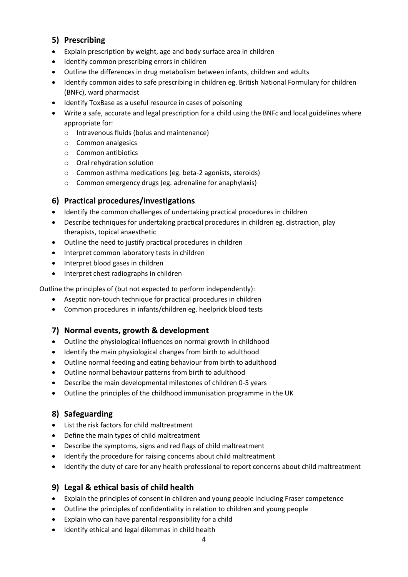# **5) Prescribing**

- Explain prescription by weight, age and body surface area in children
- Identify common prescribing errors in children
- Outline the differences in drug metabolism between infants, children and adults
- Identify common aides to safe prescribing in children eg. British National Formulary for children (BNFc), ward pharmacist
- Identify ToxBase as a useful resource in cases of poisoning
- Write a safe, accurate and legal prescription for a child using the BNFc and local guidelines where appropriate for:
	- o Intravenous fluids (bolus and maintenance)
	- o Common analgesics
	- o Common antibiotics
	- o Oral rehydration solution
	- o Common asthma medications (eg. beta-2 agonists, steroids)
	- o Common emergency drugs (eg. adrenaline for anaphylaxis)

### **6) Practical procedures/investigations**

- Identify the common challenges of undertaking practical procedures in children
- Describe techniques for undertaking practical procedures in children eg. distraction, play therapists, topical anaesthetic
- Outline the need to justify practical procedures in children
- Interpret common laboratory tests in children
- Interpret blood gases in children
- Interpret chest radiographs in children

Outline the principles of (but not expected to perform independently):

- Aseptic non-touch technique for practical procedures in children
- Common procedures in infants/children eg. heelprick blood tests

# **7) Normal events, growth & development**

- Outline the physiological influences on normal growth in childhood
- Identify the main physiological changes from birth to adulthood
- Outline normal feeding and eating behaviour from birth to adulthood
- Outline normal behaviour patterns from birth to adulthood
- Describe the main developmental milestones of children 0-5 years
- Outline the principles of the childhood immunisation programme in the UK

#### **8) Safeguarding**

- List the risk factors for child maltreatment
- Define the main types of child maltreatment
- Describe the symptoms, signs and red flags of child maltreatment
- Identify the procedure for raising concerns about child maltreatment
- Identify the duty of care for any health professional to report concerns about child maltreatment

#### **9) Legal & ethical basis of child health**

- Explain the principles of consent in children and young people including Fraser competence
- Outline the principles of confidentiality in relation to children and young people
- Explain who can have parental responsibility for a child
- Identify ethical and legal dilemmas in child health